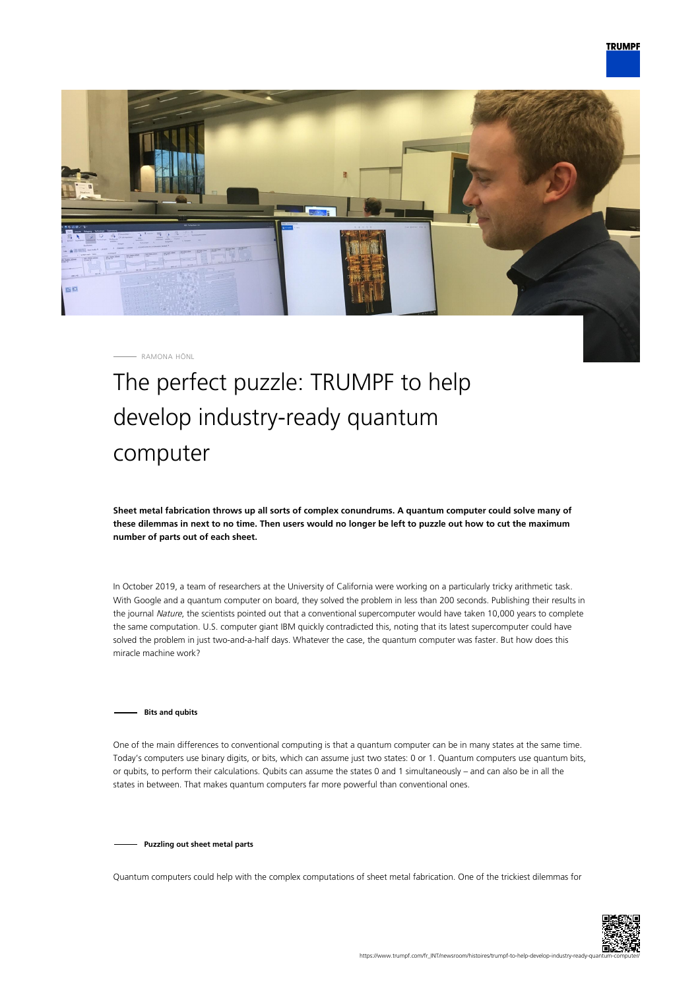

RAMONA HÖNL

## The perfect puzzle: TRUMPF to help develop industry-ready quantum computer

**Sheet metal fabrication throws up all sorts of complex conundrums. A quantum computer could solve many of these dilemmas in next to no time. Then users would no longer be left to puzzle out how to cut the maximum number of parts out of each sheet.**

In October 2019, a team of researchers at the University of California were working on a particularly tricky arithmetic task. With Google and a quantum computer on board, they solved the problem in less than 200 seconds. Publishing their results in the journal Nature, the scientists pointed out that a conventional supercomputer would have taken 10,000 years to complete the same computation. U.S. computer giant IBM quickly contradicted this, noting that its latest supercomputer could have solved the problem in just two-and-a-half days. Whatever the case, the quantum computer was faster. But how does this miracle machine work?

## **Bits and qubits**

One of the main differences to conventional computing is that a quantum computer can be in many states at the same time. Today's computers use binary digits, or bits, which can assume just two states: 0 or 1. Quantum computers use quantum bits, or qubits, to perform their calculations. Qubits can assume the states 0 and 1 simultaneously – and can also be in all the states in between. That makes quantum computers far more powerful than conventional ones.

**Puzzling out sheet metal parts**

Quantum computers could help with the complex computations of sheet metal fabrication. One of the trickiest dilemmas for

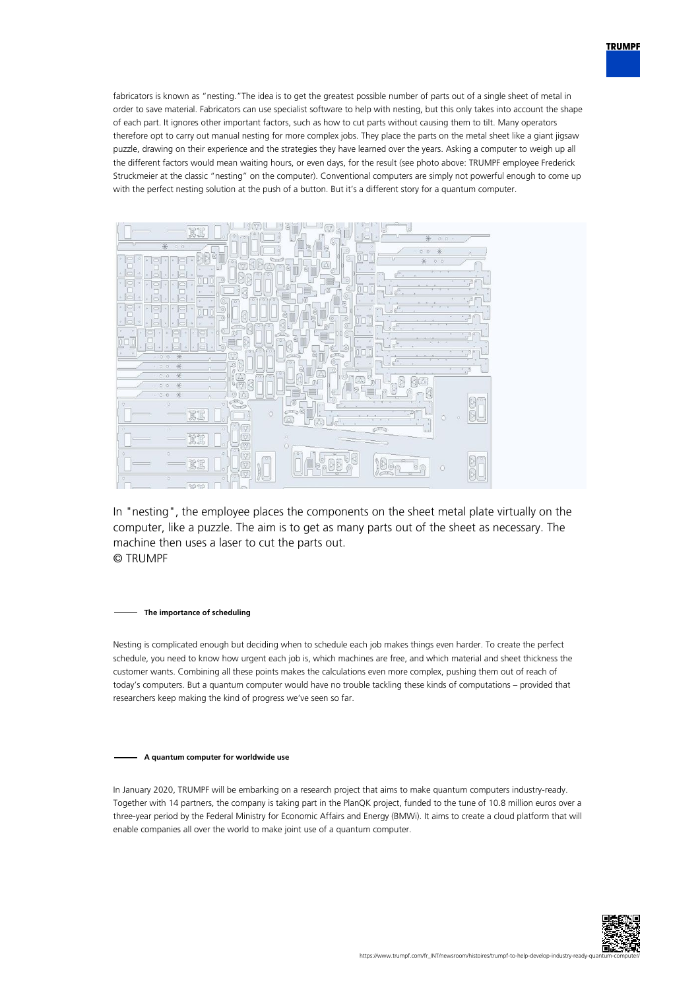

fabricators is known as "nesting."The idea is to get the greatest possible number of parts out of a single sheet of metal in order to save material. Fabricators can use specialist software to help with nesting, but this only takes into account the shape of each part. It ignores other important factors, such as how to cut parts without causing them to tilt. Many operators therefore opt to carry out manual nesting for more complex jobs. They place the parts on the metal sheet like a giant jigsaw puzzle, drawing on their experience and the strategies they have learned over the years. Asking a computer to weigh up all the different factors would mean waiting hours, or even days, for the result (see photo above: TRUMPF employee Frederick Struckmeier at the classic "nesting" on the computer). Conventional computers are simply not powerful enough to come up with the perfect nesting solution at the push of a button. But it's a different story for a quantum computer.



In "nesting", the employee places the components on the sheet metal plate virtually on the computer, like a puzzle. The aim is to get as many parts out of the sheet as necessary. The machine then uses a laser to cut the parts out. © TRUMPF

**The importance of scheduling**

Nesting is complicated enough but deciding when to schedule each job makes things even harder. To create the perfect schedule, you need to know how urgent each job is, which machines are free, and which material and sheet thickness the customer wants. Combining all these points makes the calculations even more complex, pushing them out of reach of today's computers. But a quantum computer would have no trouble tackling these kinds of computations – provided that researchers keep making the kind of progress we've seen so far.

**A quantum computer for worldwide use**

In January 2020, TRUMPF will be embarking on a research project that aims to make quantum computers industry-ready. Together with 14 partners, the company is taking part in the PlanQK project, funded to the tune of 10.8 million euros over a three-year period by the Federal Ministry for Economic Affairs and Energy (BMWi). It aims to create a cloud platform that will enable companies all over the world to make joint use of a quantum computer.